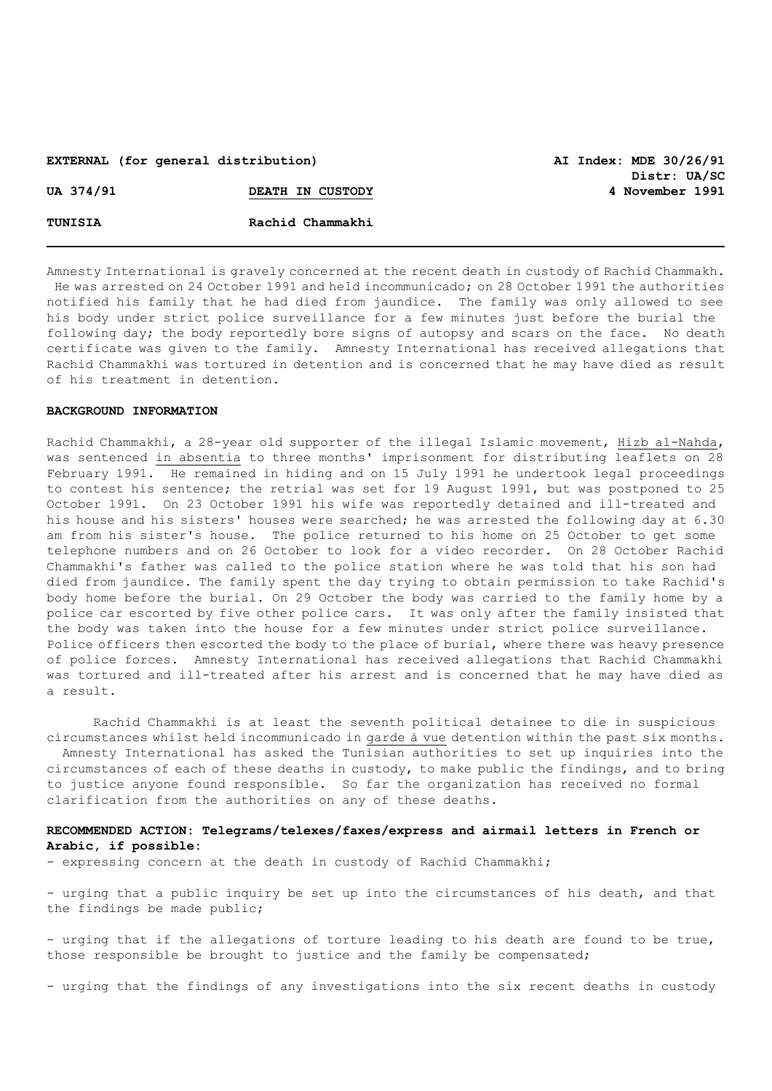## **EXTERNAL (for general distribution) AI Index: MDE 30/26/91**

**Distr: UA/SC UA 374/91 DEATH IN CUSTODY 4 November 1991**

| UA 374/91 | DEATH IN CUSTODY |
|-----------|------------------|
| TUNISIA   | Rachid Chammakhi |

Amnesty International is gravely concerned at the recent death in custody of Rachid Chammakh. He was arrested on 24 October 1991 and held incommunicado; on 28 October 1991 the authorities notified his family that he had died from jaundice. The family was only allowed to see his body under strict police surveillance for a few minutes just before the burial the following day; the body reportedly bore signs of autopsy and scars on the face. No death certificate was given to the family. Amnesty International has received allegations that Rachid Chammakhi was tortured in detention and is concerned that he may have died as result of his treatment in detention.

#### **BACKGROUND INFORMATION**

Rachid Chammakhi, a 28-year old supporter of the illegal Islamic movement, Hizb al-Nahda, was sentenced in absentia to three months' imprisonment for distributing leaflets on 28 February 1991. He remained in hiding and on 15 July 1991 he undertook legal proceedings to contest his sentence; the retrial was set for 19 August 1991, but was postponed to 25 October 1991. On 23 October 1991 his wife was reportedly detained and ill-treated and his house and his sisters' houses were searched; he was arrested the following day at 6.30 am from his sister's house. The police returned to his home on 25 October to get some telephone numbers and on 26 October to look for a video recorder. On 28 October Rachid Chammakhi's father was called to the police station where he was told that his son had died from jaundice. The family spent the day trying to obtain permission to take Rachid's body home before the burial. On 29 October the body was carried to the family home by a police car escorted by five other police cars. It was only after the family insisted that the body was taken into the house for a few minutes under strict police surveillance. Police officers then escorted the body to the place of burial, where there was heavy presence of police forces. Amnesty International has received allegations that Rachid Chammakhi was tortured and ill-treated after his arrest and is concerned that he may have died as a result.

Rachid Chammakhi is at least the seventh political detainee to die in suspicious circumstances whilst held incommunicado in garde à vue detention within the past six months.

 Amnesty International has asked the Tunisian authorities to set up inquiries into the circumstances of each of these deaths in custody, to make public the findings, and to bring to justice anyone found responsible. So far the organization has received no formal clarification from the authorities on any of these deaths.

### **RECOMMENDED ACTION: Telegrams/telexes/faxes/express and airmail letters in French or Arabic, if possible:**

- expressing concern at the death in custody of Rachid Chammakhi;

- urging that a public inquiry be set up into the circumstances of his death, and that the findings be made public;

- urging that if the allegations of torture leading to his death are found to be true, those responsible be brought to justice and the family be compensated;

- urging that the findings of any investigations into the six recent deaths in custody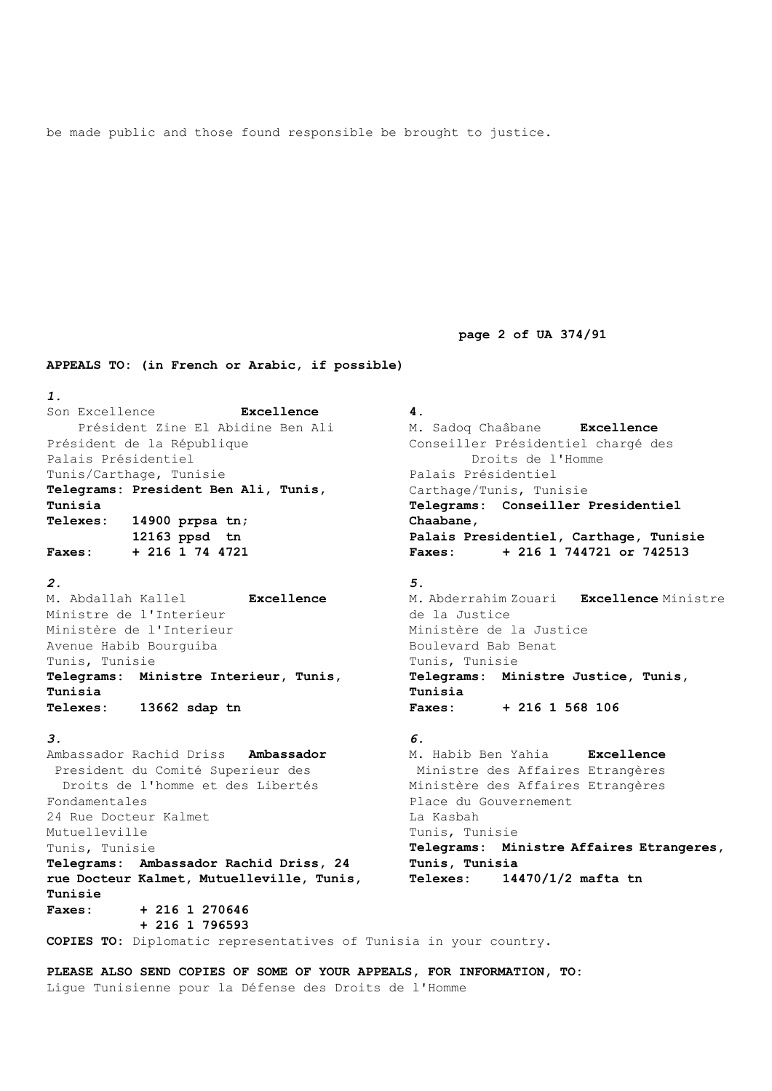be made public and those found responsible be brought to justice.

 **page 2 of UA 374/91**

**APPEALS TO: (in French or Arabic, if possible)**

*1.* Son Excellence **Excellence** Président Zine El Abidine Ben Ali Président de la République Palais Présidentiel Tunis/Carthage, Tunisie **Telegrams: President Ben Ali, Tunis, Tunisia Telexes: 14900 prpsa tn; 12163 ppsd tn Faxes: + 216 1 74 4721**

*2.*

M. Abdallah Kallel **Excellence**  Ministre de l'Interieur Ministère de l'Interieur Avenue Habib Bourguiba Tunis, Tunisie **Telegrams: Ministre Interieur, Tunis, Tunisia Telexes: 13662 sdap tn**

### *3.*

Ambassador Rachid Driss **Ambassador** President du Comité Superieur des Droits de l'homme et des Libertés Fondamentales 24 Rue Docteur Kalmet Mutuelleville Tunis, Tunisie **Telegrams: Ambassador Rachid Driss, 24 rue Docteur Kalmet, Mutuelleville, Tunis, Tunisie Faxes: + 216 1 270646 + 216 1 796593**

M. Sadoq Chaâbane **Excellence**  Conseiller Présidentiel chargé des Droits de l'Homme Palais Présidentiel Carthage/Tunis, Tunisie **Telegrams: Conseiller Presidentiel Chaabane, Palais Presidentiel, Carthage, Tunisie Faxes: + 216 1 744721 or 742513**

# *5.* M. Abderrahim Zouari **Excellence** Ministre de la Justice Ministère de la Justice Boulevard Bab Benat Tunis, Tunisie **Telegrams: Ministre Justice, Tunis, Tunisia Faxes: + 216 1 568 106**

*6.*

**4**.

M. Habib Ben Yahia **Excellence** Ministre des Affaires Etrangères Ministère des Affaires Etrangères Place du Gouvernement La Kasbah Tunis, Tunisie **Telegrams: Ministre Affaires Etrangeres, Tunis, Tunisia Telexes: 14470/1/2 mafta tn**

**COPIES TO:** Diplomatic representatives of Tunisia in your country.

**PLEASE ALSO SEND COPIES OF SOME OF YOUR APPEALS, FOR INFORMATION, TO:**  Ligue Tunisienne pour la Défense des Droits de l'Homme